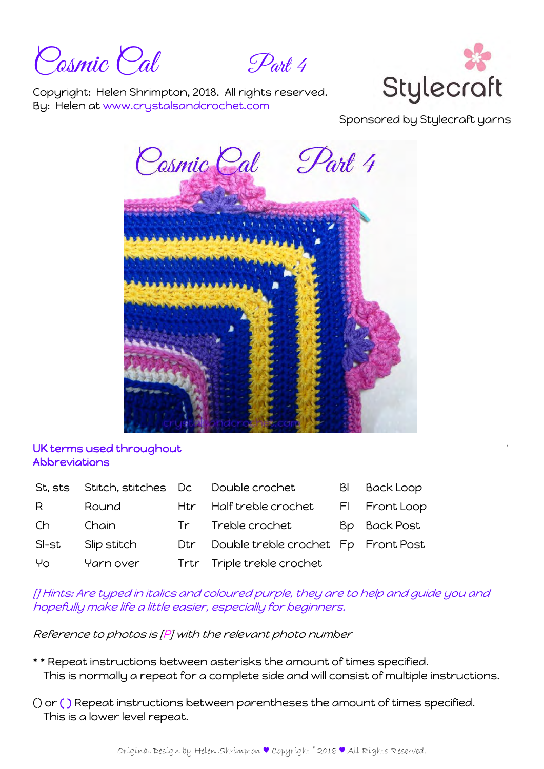Posmic Pal Part 4



Copyright: Helen Shrimpton, 2018. All rights reserved. By: Helen at www.crystalsandcrochet.com

Sponsored by Stylecraft yarns



## UK terms used throughout Abbreviations

| St. sts | Stitch, stitches Dc |      | Double crochet                      | BI | <b>Back Loop</b> |
|---------|---------------------|------|-------------------------------------|----|------------------|
| R       | Round               | Htr  | Half treble crochet                 |    | FI Front Loop    |
| Ch      | Chain               |      | Tr Treble crochet                   |    | Bp Back Post     |
| SI-st   | Slip stitch         | Dtr. | Double treble crochet Fp Front Post |    |                  |
| Yo      | Yarn over           |      | Trtr Triple treble crochet          |    |                  |

[] Hints: Are typed in italics and coloured purple, they are to help and guide you and hopefully make life a little easier, especially for beginners.

Reference to photos is [P] with the relevant photo number

- \* \* Repeat instructions between asterisks the amount of times specified. This is normally a repeat for a complete side and will consist of multiple instructions.
- () or ( ) Repeat instructions between parentheses the amount of times specified. This is a lower level repeat.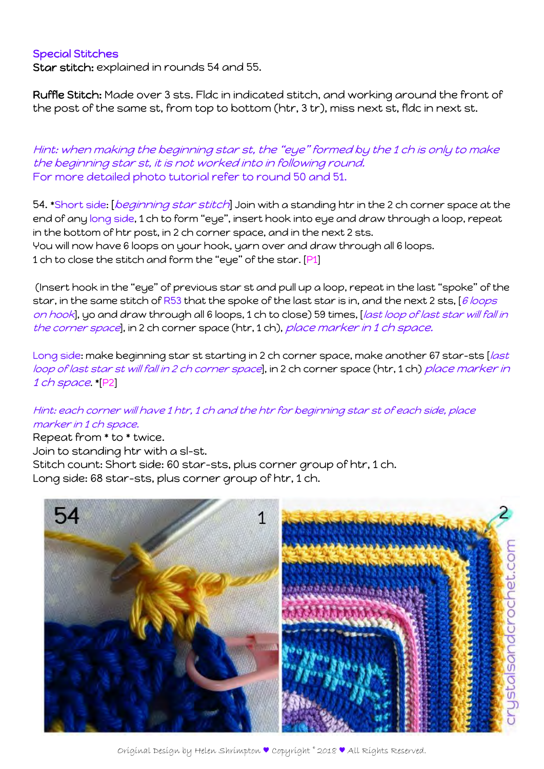## Special Stitches

Star stitch: explained in rounds 54 and 55.

Ruffle Stitch: Made over 3 sts. Fldc in indicated stitch, and working around the front of the post of the same st, from top to bottom (htr, 3 tr), miss next st, fldc in next st.

Hint: when making the beginning star st, the "eye" formed by the 1 ch is only to make the beginning star st, it is not worked into in following round. For more detailed photo tutorial refer to round 50 and 51.

54. \*Short side: [beginning star stitch] Join with a standing htr in the 2 ch corner space at the end of any long side, 1 ch to form "eye", insert hook into eye and draw through a loop, repeat in the bottom of htr post, in 2 ch corner space, and in the next 2 sts. You will now have 6 loops on your hook, yarn over and draw through all 6 loops. 1 ch to close the stitch and form the "eye" of the star. [P1]

 (Insert hook in the "eye" of previous star st and pull up a loop, repeat in the last "spoke" of the star, in the same stitch of R53 that the spoke of the last star is in, and the next 2 sts,  $[6$  loops on hook], yo and draw through all 6 loops, 1 ch to close) 59 times, [last loop of last star will fall in the corner space], in 2 ch corner space (htr, 1 ch), place marker in 1 ch space.

Long side: make beginning star st starting in 2 ch corner space, make another 67 star-sts [last loop of last star st will fall in 2 ch corner space, in 2 ch corner space (htr, 1 ch) place marker in 1 ch space. \*[P2]

## Hint: each corner will have 1 htr, 1 ch and the htr for beginning star st of each side, place marker in 1 ch space.

Repeat from \* to \* twice.

Join to standing htr with a sl-st.

Stitch count: Short side: 60 star-sts, plus corner group of htr, 1 ch.

Long side: 68 star-sts, plus corner group of htr, 1 ch.

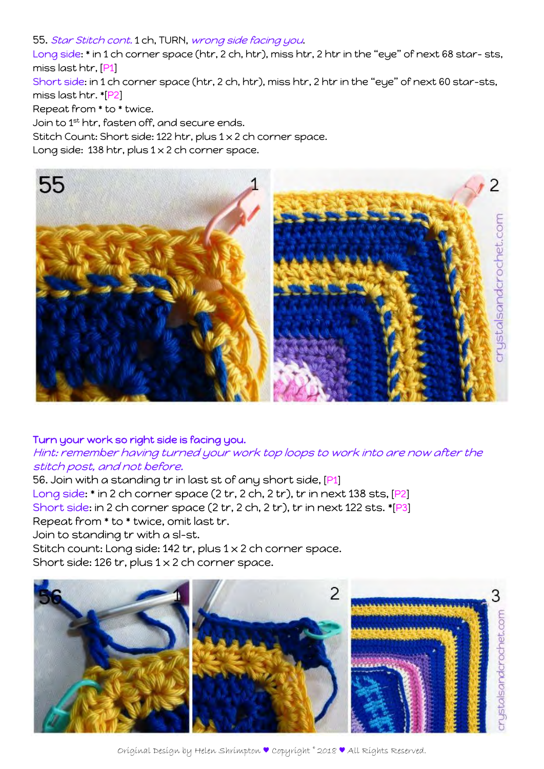#### 55. Star Stitch cont. 1 ch, TURN, wrong side facing you.

Long side: \* in 1 ch corner space (htr, 2 ch, htr), miss htr, 2 htr in the "eye" of next 68 star-sts, miss last htr, [P1]

Short side: in 1 ch corner space (htr, 2 ch, htr), miss htr, 2 htr in the "eye" of next 60 star-sts, miss last htr. \*[P2]

Repeat from \* to \* twice.

Join to 1st htr, fasten off, and secure ends.

Stitch Count: Short side: 122 htr, plus 1 x 2 ch corner space.

Long side: 138 htr, plus  $1 \times 2$  ch corner space.



### Turn your work so right side is facing you.

# Hint: remember having turned your work top loops to work into are now after the stitch post, and not before.

56. Join with a standing tr in last st of any short side, [P1] Long side: \* in 2 ch corner space (2 tr, 2 ch, 2 tr), tr in next 138 sts, [P2] Short side: in 2 ch corner space (2 tr, 2 ch, 2 tr), tr in next 122 sts. \*[P3] Repeat from \* to \* twice, omit last tr. Join to standing tr with a sl-st. Stitch count: Long side: 142 tr, plus 1 x 2 ch corner space.

Short side: 126 tr, plus  $1 \times 2$  ch corner space.

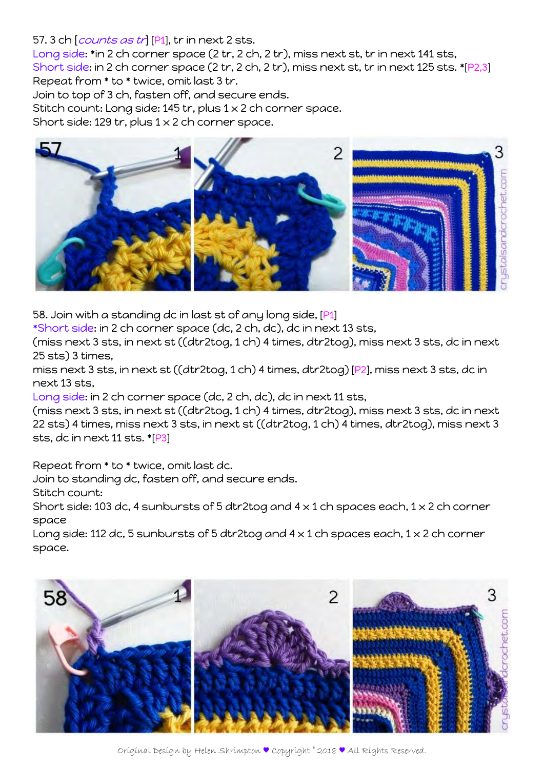## 57. 3 ch [*counts as tr*] [P1], tr in next 2 sts.

Long side: \*in 2 ch corner space (2 tr, 2 ch, 2 tr), miss next st, tr in next 141 sts, Short side: in 2 ch corner space (2 tr, 2 ch, 2 tr), miss next st, tr in next 125 sts. \*[P2,3] Repeat from \* to \* twice, omit last 3 tr.

Join to top of 3 ch, fasten off, and secure ends.

Stitch count: Long side: 145 tr, plus 1 x 2 ch corner space.

Short side: 129 tr, plus  $1 \times 2$  ch corner space.



58. Join with a standing dc in last st of any long side, [P1]

\*Short side: in 2 ch corner space (dc, 2 ch, dc), dc in next 13 sts,

(miss next 3 sts, in next st ((dtr2tog, 1 ch) 4 times, dtr2tog), miss next 3 sts, dc in next 25 sts) 3 times,

miss next 3 sts, in next st ((dtr2tog, 1 ch) 4 times, dtr2tog) [P2], miss next 3 sts, dc in next 13 sts,

Long side: in 2 ch corner space (dc, 2 ch, dc), dc in next 11 sts,

(miss next 3 sts, in next st ((dtr2tog, 1 ch) 4 times, dtr2tog), miss next 3 sts, dc in next 22 sts) 4 times, miss next 3 sts, in next st ((dtr2tog, 1 ch) 4 times, dtr2tog), miss next 3 sts, dc in next 11 sts. \*[P3]

Repeat from \* to \* twice, omit last dc.

Join to standing dc, fasten off, and secure ends.

Stitch count:

Short side: 103 dc, 4 sunbursts of 5 dtr2tog and  $4 \times 1$  ch spaces each,  $1 \times 2$  ch corner space

Long side: 112 dc, 5 sunbursts of 5 dtr2tog and  $4 \times 1$  ch spaces each,  $1 \times 2$  ch corner space.

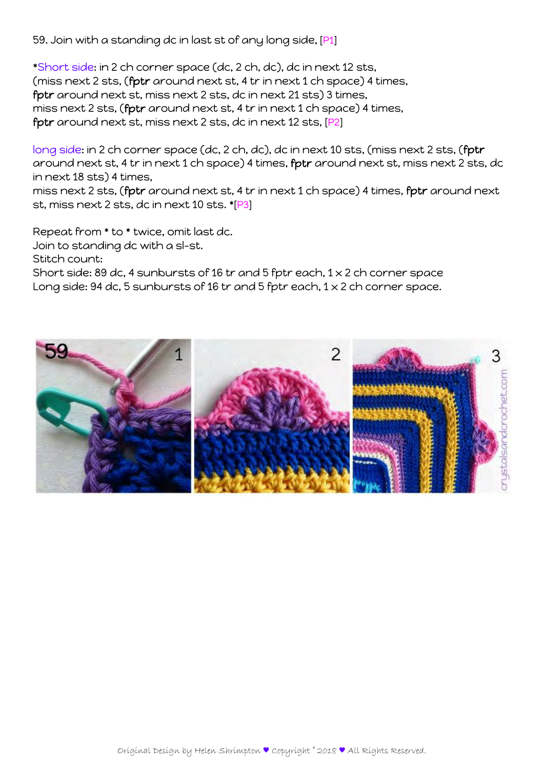59. Join with a standing dc in last st of any long side, [P1]

\*Short side: in 2 ch corner space (dc, 2 ch, dc), dc in next 12 sts, (miss next 2 sts, (fptr around next st, 4 tr in next 1 ch space) 4 times, fptr around next st, miss next 2 sts, dc in next 21 sts) 3 times, miss next 2 sts, (fptr around next st, 4 tr in next 1 ch space) 4 times, fptr around next st, miss next 2 sts, dc in next 12 sts, [P2]

long side: in 2 ch corner space (dc, 2 ch, dc), dc in next 10 sts, (miss next 2 sts, (fptr around next st, 4 tr in next 1 ch space) 4 times, fptr around next st, miss next 2 sts, dc in next 18 sts) 4 times,

miss next 2 sts, (fptr around next st, 4 tr in next 1 ch space) 4 times, fptr around next st, miss next 2 sts, dc in next 10 sts. \*[P3]

Repeat from \* to \* twice, omit last dc.

Join to standing dc with a sl-st.

Stitch count:

Short side: 89 dc, 4 sunbursts of 16 tr and 5 fptr each, 1 x 2 ch corner space Long side: 94 dc, 5 sunbursts of 16 tr and 5 fptr each, 1 x 2 ch corner space.